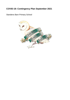# **COVID-19: Contingency Plan September 2021**

Standens Barn Primary School

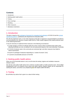# **Contents**

## <span id="page-1-0"></span>**1. Introduction**

This plan is based on the [contingency framework for managing local outbreaks](https://www.gov.uk/government/publications/coronavirus-covid-19-local-restrictions-in-education-and-childcare-settings) of COVID-19 and the [schools](https://www.gov.uk/government/publications/actions-for-schools-during-the-coronavirus-outbreak) [operational guidance, p](https://www.gov.uk/government/publications/actions-for-schools-during-the-coronavirus-outbreak)ublished by the Department for Education (DfE).

We will only implement some, or all, of the measures in this plan in response to recommendations provided by our local authority (LA), directors of public health (DsPH), Public Health England (PHE) health protection team or the national government.

It may be necessary to implement these measures in the following circumstances:

- To help manage a COVID-19 outbreak within the school. Actions will be considered when either of the following thresholds are met: as outlined in the risk assessment based on the Local Authorities Thresholds.
- If COVID-19 infection rates in the community are extremely high, and other measures have failed to reduce transmission
- As part of a package of measures responding to a 'variant of concern' (VoC)
- > To prevent unsustainable pressure on the NHS

# <span id="page-1-1"></span>**2. Seeking public health advice**

When one of the thresholds above is met, we will review the testing, hygiene and ventilation measures already in place.

We will also seek public health advice from a director of public health or health protection team: Simon Blight (Headteacher) and in his absence Amie James and Alison Allerton (Deputy Heads) will be responsible for seeking this advice, and will do so by telephoning the DfE helpline (0800 046 8687].

# <span id="page-1-2"></span>**3. Testing**

We will follow any advice that is given to us about further testing.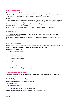# <span id="page-2-0"></span>**4. Face coverings**

If recommended staff and visitors who are not exempt from wearing a face covering:

Will be asked to keep on or put on a face covering when arriving at school and moving around indoors in places where social distancing is difficult to maintain, such as in communal areas

And/or:

Will be asked to wear a face covering in classrooms or during activities, unless social distancing canbe maintained or a face covering would impact on the ability to take part in exercise or strenuous activity

In line with current Government guidance masks are not compulsory on the school site; but adults can make thoer own choice about the need for these.

Pupils at Standens Barn Primary School are not expected to wear face coverings or masks.

# <span id="page-2-1"></span>**5. Shielding**

We will adhere to national guidance on the reintroduction of shielding, which would apply to those on the [shielded patient list \(SPL\).](https://digital.nhs.uk/coronavirus/shielded-patient-list)

We will speak to individuals required to shield about additional protective measures in school or arrangements for home working or learning.

## <span id="page-2-2"></span>**6. Other measures**

Parents, carers, pupils and staff will be informed promptly about the introduction of control measures. This will be done via email/letters/texts or phone calls, once a decision has been made.

If recommended, we will limit:

- $\triangleright$  Residential educational visits
- $\triangleright$  Open days
- $\triangleright$  Transition or taster days
- $\triangleright$  Parents coming into school
- $\blacktriangleright$  Live performances
- $\triangleright$  Assemblies

If recommended, we will reintroduce:

 $\triangleright$  Bubbles, to reduce mixing between groups

## <span id="page-2-3"></span>**7. Attendance restrictions**

Attendance restrictions will only be recommended as a last resort. If recommended, we will implement the measures in this section.

### **7.1 Eligibility to remain in school**

If restrictions are recommended, we will stay open for:

- Vulnerable pupils
- Children of critical workers

## **7.2 Education and support for pupils at home**

All other pupils will be required to stay at home and will receive remote education.